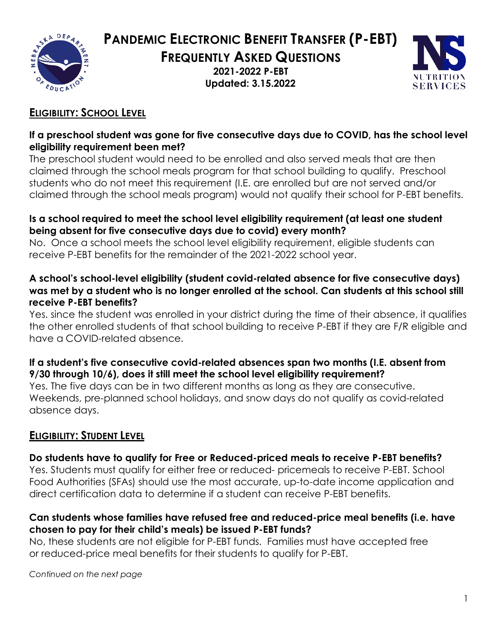

**PANDEMIC ELECTRONIC BENEFIT TRANSFER (P-EBT)**

**FREQUENTLY ASKED QUESTIONS**

**2021-2022 P-EBT Updated: 3.15.2022**



## **ELIGIBILITY: SCHOOL LEVEL**

### **If a preschool student was gone for five consecutive days due to COVID, has the school level eligibility requirement been met?**

The preschool student would need to be enrolled and also served meals that are then claimed through the school meals program for that school building to qualify. Preschool students who do not meet this requirement (I.E. are enrolled but are not served and/or claimed through the school meals program) would not qualify their school for P-EBT benefits.

### **Is a school required to meet the school level eligibility requirement (at least one student being absent for five consecutive days due to covid) every month?**

No. Once a school meets the school level eligibility requirement, eligible students can receive P-EBT benefits for the remainder of the 2021-2022 school year.

#### **A school's school-level eligibility (student covid-related absence for five consecutive days) was met by a student who is no longer enrolled at the school. Can students at this school still receive P-EBT benefits?**

Yes. since the student was enrolled in your district during the time of their absence, it qualifies the other enrolled students of that school building to receive P-EBT if they are F/R eligible and have a COVID-related absence.

## **If a student's five consecutive covid-related absences span two months (I.E. absent from 9/30 through 10/6), does it still meet the school level eligibility requirement?**

Yes. The five days can be in two different months as long as they are consecutive. Weekends, pre-planned school holidays, and snow days do not qualify as covid-related absence days.

# **ELIGIBILITY: STUDENT LEVEL**

## **Do students have to qualify for Free or Reduced-priced meals to receive P-EBT benefits?**

Yes. Students must qualify for either free or reduced- pricemeals to receive P-EBT. School Food Authorities (SFAs) should use the most accurate, up-to-date income application and direct certification data to determine if a student can receive P-EBT benefits.

## **Can students whose families have refused free and reduced-price meal benefits (i.e. have chosen to pay for their child's meals) be issued P-EBT funds?**

No, these students are not eligible for P-EBT funds. Families must have accepted free or reduced-price meal benefits for their students to qualify for P-EBT.

*Continued on the next page*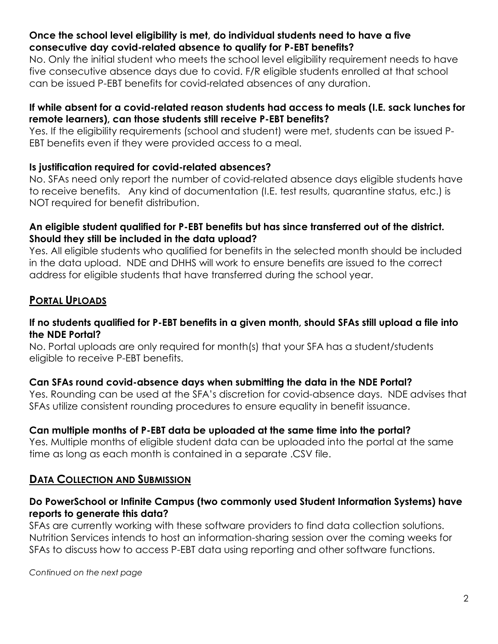#### **Once the school level eligibility is met, do individual students need to have a five consecutive day covid-related absence to qualify for P-EBT benefits?**

No. Only the initial student who meets the school level eligibility requirement needs to have five consecutive absence days due to covid. F/R eligible students enrolled at that school can be issued P-EBT benefits for covid-related absences of any duration.

#### **If while absent for a covid-related reason students had access to meals (I.E. sack lunches for remote learners), can those students still receive P-EBT benefits?**

Yes. If the eligibility requirements (school and student) were met, students can be issued P-EBT benefits even if they were provided access to a meal.

### **Is justification required for covid-related absences?**

No. SFAs need only report the number of covid-related absence days eligible students have to receive benefits. Any kind of documentation (I.E. test results, quarantine status, etc.) is NOT required for benefit distribution.

#### **An eligible student qualified for P-EBT benefits but has since transferred out of the district. Should they still be included in the data upload?**

Yes. All eligible students who qualified for benefits in the selected month should be included in the data upload. NDE and DHHS will work to ensure benefits are issued to the correct address for eligible students that have transferred during the school year.

## **PORTAL UPLOADS**

#### **If no students qualified for P-EBT benefits in a given month, should SFAs still upload a file into the NDE Portal?**

No. Portal uploads are only required for month(s) that your SFA has a student/students eligible to receive P-EBT benefits.

### **Can SFAs round covid-absence days when submitting the data in the NDE Portal?**

Yes. Rounding can be used at the SFA's discretion for covid-absence days. NDE advises that SFAs utilize consistent rounding procedures to ensure equality in benefit issuance.

### **Can multiple months of P-EBT data be uploaded at the same time into the portal?**

Yes. Multiple months of eligible student data can be uploaded into the portal at the same time as long as each month is contained in a separate .CSV file.

## **DATA COLLECTION AND SUBMISSION**

### **Do PowerSchool or Infinite Campus (two commonly used Student Information Systems) have reports to generate this data?**

SFAs are currently working with these software providers to find data collection solutions. Nutrition Services intends to host an information-sharing session over the coming weeks for SFAs to discuss how to access P-EBT data using reporting and other software functions.

*Continued on the next page*